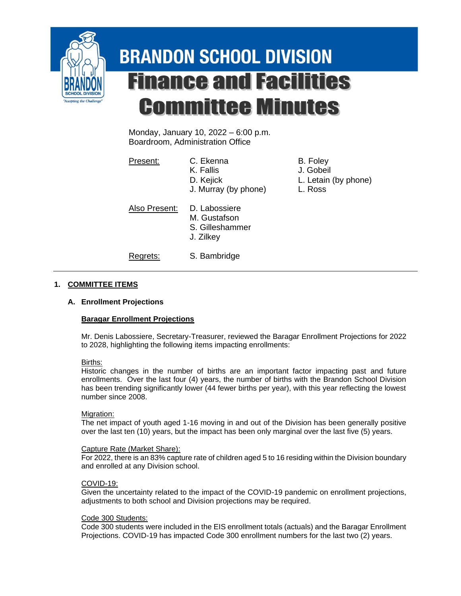

# **BRANDON SCHOOL DIVISION Finance and Facilities Committee Minutes**

Monday, January 10, 2022 – 6:00 p.m. Boardroom, Administration Office

Present: C. Ekenna B. Foley K. Fallis **J. Gobeil** D. Kejick L. Letain (by phone) J. Murray (by phone) L. Ross

Also Present: D. Labossiere

M. Gustafson S. Gilleshammer

J. Zilkey

Regrets: S. Bambridge

# **1. COMMITTEE ITEMS**

# **A. Enrollment Projections**

# **Baragar Enrollment Projections**

Mr. Denis Labossiere, Secretary-Treasurer, reviewed the Baragar Enrollment Projections for 2022 to 2028, highlighting the following items impacting enrollments:

Births:

Historic changes in the number of births are an important factor impacting past and future enrollments. Over the last four (4) years, the number of births with the Brandon School Division has been trending significantly lower (44 fewer births per year), with this year reflecting the lowest number since 2008.

# Migration:

The net impact of youth aged 1-16 moving in and out of the Division has been generally positive over the last ten (10) years, but the impact has been only marginal over the last five (5) years.

## Capture Rate (Market Share):

For 2022, there is an 83% capture rate of children aged 5 to 16 residing within the Division boundary and enrolled at any Division school.

# COVID-19:

Given the uncertainty related to the impact of the COVID-19 pandemic on enrollment projections, adjustments to both school and Division projections may be required.

## Code 300 Students:

Code 300 students were included in the EIS enrollment totals (actuals) and the Baragar Enrollment Projections. COVID-19 has impacted Code 300 enrollment numbers for the last two (2) years.